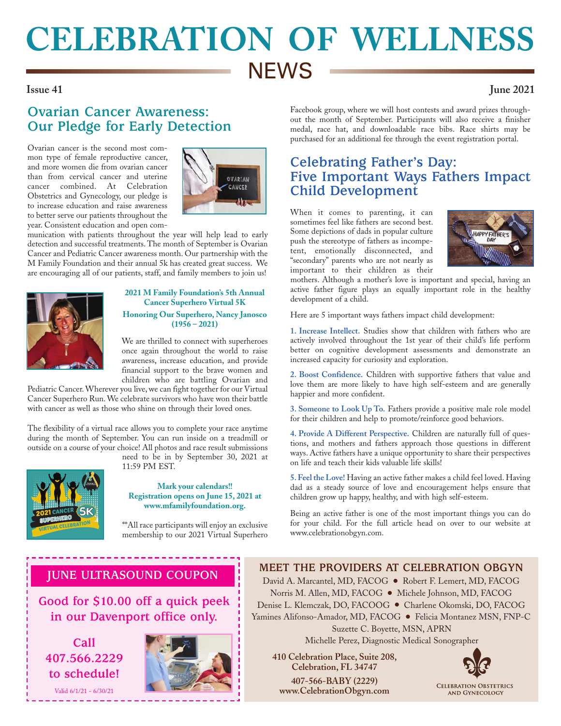# **CELEBRATION OF WELLNESS NEWS**

### **Issue 41 June 2021**

# **Ovarian Cancer Awareness: Our Pledge for Early Detection**

Ovarian cancer is the second most common type of female reproductive cancer, and more women die from ovarian cancer than from cervical cancer and uterine cancer combined. At Celebration Obstetrics and Gynecology, our pledge is to increase education and raise awareness to better serve our patients throughout the year. Consistent education and open com-



munication with patients throughout the year will help lead to early detection and successful treatments. The month of September is Ovarian Cancer and Pediatric Cancer awareness month. Our partnership with the M Family Foundation and their annual 5k has created great success. We are encouraging all of our patients, staff, and family members to join us!



### **2021 M Family Foundation's 5th Annual Cancer Superhero Virtual 5K Honoring Our Superhero, Nancy Janosco (1956 – 2021)**

We are thrilled to connect with superheroes once again throughout the world to raise awareness, increase education, and provide financial support to the brave women and children who are battling Ovarian and

Pediatric Cancer. Wherever you live, we can fight together for our Virtual Cancer Superhero Run. We celebrate survivors who have won their battle with cancer as well as those who shine on through their loved ones.

The flexibility of a virtual race allows you to complete your race anytime during the month of September. You can run inside on a treadmill or outside on a course of your choice! All photos and race result submissions need to be in by September 30, 2021 at



11:59 PM EST.

**Mark your calendars!! Registration opens on June 15, 2021 at www.mfamilyfoundation.org.**

\*\*All race participants will enjoy an exclusive membership to our 2021 Virtual Superhero Facebook group, where we will host contests and award prizes throughout the month of September. Participants will also receive a finisher medal, race hat, and downloadable race bibs. Race shirts may be purchased for an additional fee through the event registration portal.

## **Celebrating Father's Day: Five Important Ways Fathers Impact Child Development**

When it comes to parenting, it can sometimes feel like fathers are second best. Some depictions of dads in popular culture push the stereotype of fathers as incompetent, emotionally disconnected, and "secondary" parents who are not nearly as important to their children as their



mothers. Although a mother's love is important and special, having an active father figure plays an equally important role in the healthy development of a child.

Here are 5 important ways fathers impact child development:

**1. Increase Intellect.** Studies show that children with fathers who are actively involved throughout the 1st year of their child's life perform better on cognitive development assessments and demonstrate an increased capacity for curiosity and exploration.

**2. Boost Confidence.** Children with supportive fathers that value and love them are more likely to have high self-esteem and are generally happier and more confident.

**3. Someone to Look Up To.** Fathers provide a positive male role model for their children and help to promote/reinforce good behaviors.

**4. Provide A Different Perspective.** Children are naturally full of questions, and mothers and fathers approach those questions in different ways. Active fathers have a unique opportunity to share their perspectives on life and teach their kids valuable life skills!

**5. Feel the Love!** Having an active father makes a child feel loved. Having dad as a steady source of love and encouragement helps ensure that children grow up happy, healthy, and with high self-esteem.

Being an active father is one of the most important things you can do for your child. For the full article head on over to our website at www.celebrationobgyn.com.

### **JUNE ULTRASOUND COUPON**

**Good for \$10.00 off a quick peek in our Davenport office only.** 

**Call 407.566.2229 to schedule!**

Valid 6/1/21 - 6/30/21



### **MEET THE PROVIDERS AT CELEBRATION OBGYN**

David A. Marcantel, MD, FACOG ● Robert F. Lemert, MD, FACOG Norris M. Allen, MD, FACOG ● Michele Johnson, MD, FACOG Denise L. Klemczak, DO, FACOOG ● Charlene Okomski, DO, FACOG Yamines Alifonso-Amador, MD, FACOG ● Felicia Montanez MSN, FNP-C Suzette C. Boyette, MSN, APRN Michelle Perez, Diagnostic Medical Sonographer

 **410 Celebration Place, Suite 208, Celebration, FL 34747 407-566-BABY (2229) www.CelebrationObgyn.com**



**CELEBRATION OBSTETRICS AND GYNECOLOGY**